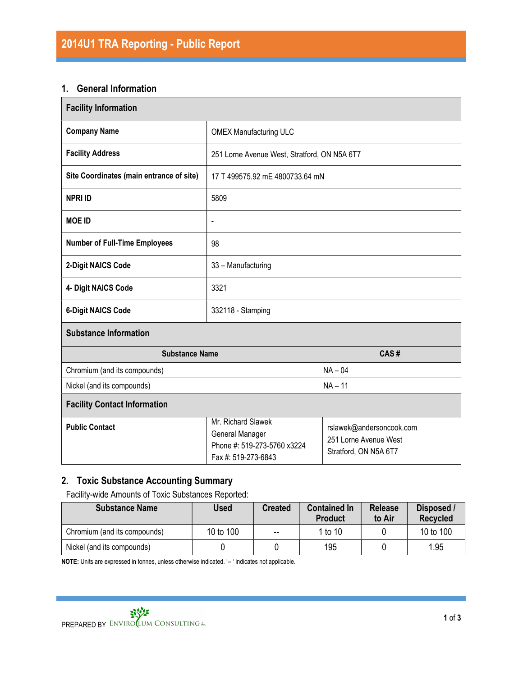#### 1. General Information

| <b>Facility Information</b>              |                                                                                             |                                                                            |  |  |  |
|------------------------------------------|---------------------------------------------------------------------------------------------|----------------------------------------------------------------------------|--|--|--|
| <b>Company Name</b>                      | <b>OMEX Manufacturing ULC</b>                                                               |                                                                            |  |  |  |
| <b>Facility Address</b>                  | 251 Lorne Avenue West, Stratford, ON N5A 6T7                                                |                                                                            |  |  |  |
| Site Coordinates (main entrance of site) | 17 T 499575.92 mE 4800733.64 mN                                                             |                                                                            |  |  |  |
| <b>NPRI ID</b>                           | 5809                                                                                        |                                                                            |  |  |  |
| <b>MOE ID</b>                            | $\blacksquare$                                                                              |                                                                            |  |  |  |
| <b>Number of Full-Time Employees</b>     | 98                                                                                          |                                                                            |  |  |  |
| 2-Digit NAICS Code                       | 33 - Manufacturing                                                                          |                                                                            |  |  |  |
| 4- Digit NAICS Code                      | 3321                                                                                        |                                                                            |  |  |  |
| <b>6-Digit NAICS Code</b>                | 332118 - Stamping                                                                           |                                                                            |  |  |  |
| <b>Substance Information</b>             |                                                                                             |                                                                            |  |  |  |
| <b>Substance Name</b>                    |                                                                                             | CAS#                                                                       |  |  |  |
| Chromium (and its compounds)             |                                                                                             | $NA - 04$                                                                  |  |  |  |
| Nickel (and its compounds)               | $NA - 11$                                                                                   |                                                                            |  |  |  |
| <b>Facility Contact Information</b>      |                                                                                             |                                                                            |  |  |  |
| <b>Public Contact</b>                    | Mr. Richard Slawek<br>General Manager<br>Phone #: 519-273-5760 x3224<br>Fax #: 519-273-6843 | rslawek@andersoncook.com<br>251 Lorne Avenue West<br>Stratford, ON N5A 6T7 |  |  |  |

# 2. Toxic Substance Accounting Summary

Facility-wide Amounts of Toxic Substances Reported:

| <b>Substance Name</b>        | <b>Used</b> | <b>Created</b>           | <b>Contained In</b><br><b>Product</b> | <b>Release</b><br>to Air | Disposed /<br><b>Recycled</b> |
|------------------------------|-------------|--------------------------|---------------------------------------|--------------------------|-------------------------------|
| Chromium (and its compounds) | 10 to 100   | $\overline{\phantom{m}}$ | 1 to 10                               |                          | 10 to 100                     |
| Nickel (and its compounds)   |             |                          | 195                                   |                          | 1.95                          |

NOTE: Units are expressed in tonnes, unless otherwise indicated. '-- ' indicates not applicable.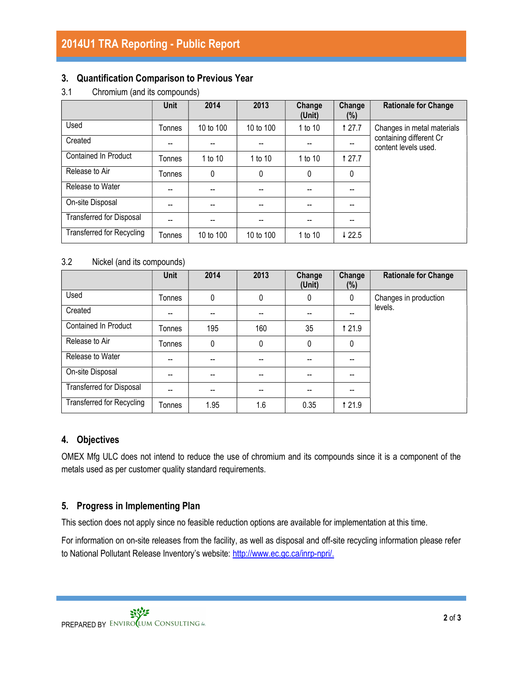### 3. Quantification Comparison to Previous Year

3.1 Chromium (and its compounds)

|                                  | <b>Unit</b> | 2014      | 2013      | Change<br>(Unit) | Change<br>(%)     | <b>Rationale for Change</b>                     |
|----------------------------------|-------------|-----------|-----------|------------------|-------------------|-------------------------------------------------|
| Used                             | Tonnes      | 10 to 100 | 10 to 100 | 1 to 10          | <b>127.7</b>      | Changes in metal materials                      |
| Created                          | --          |           |           |                  |                   | containing different Cr<br>content levels used. |
| <b>Contained In Product</b>      | Tonnes      | 1 to 10   | 1 to 10   | 1 to 10          | <b>127.7</b>      |                                                 |
| Release to Air                   | Tonnes      | 0         | 0         | $\mathbf{0}$     | 0                 |                                                 |
| Release to Water                 | --          |           |           |                  |                   |                                                 |
| On-site Disposal                 | --          | --        |           |                  |                   |                                                 |
| <b>Transferred for Disposal</b>  | $-$         | --        | --        | --               |                   |                                                 |
| <b>Transferred for Recycling</b> | Tonnes      | 10 to 100 | 10 to 100 | 1 to 10          | $\downarrow$ 22.5 |                                                 |

#### 3.2 Nickel (and its compounds)

|                                  | <b>Unit</b> | 2014 | 2013 | Change<br>(Unit) | Change<br>(%) | <b>Rationale for Change</b> |
|----------------------------------|-------------|------|------|------------------|---------------|-----------------------------|
| Used                             | Tonnes      | 0    | 0    | 0                | 0             | Changes in production       |
| Created                          | --          | --   |      |                  | --            | levels.                     |
| Contained In Product             | Tonnes      | 195  | 160  | 35               | <b>121.9</b>  |                             |
| Release to Air                   | Tonnes      | 0    | 0    | $\mathbf{0}$     | 0             |                             |
| Release to Water                 | --          | --   |      |                  | --            |                             |
| On-site Disposal                 | --          | --   |      |                  | --            |                             |
| <b>Transferred for Disposal</b>  | --          | --   |      |                  | --            |                             |
| <b>Transferred for Recycling</b> | Tonnes      | 1.95 | 1.6  | 0.35             | <b>121.9</b>  |                             |

#### 4. Objectives

OMEX Mfg ULC does not intend to reduce the use of chromium and its compounds since it is a component of the metals used as per customer quality standard requirements.

## 5. Progress in Implementing Plan

This section does not apply since no feasible reduction options are available for implementation at this time.

For information on on-site releases from the facility, as well as disposal and off-site recycling information please refer to National Pollutant Release Inventory's website: http://www.ec.gc.ca/inrp-npri/.